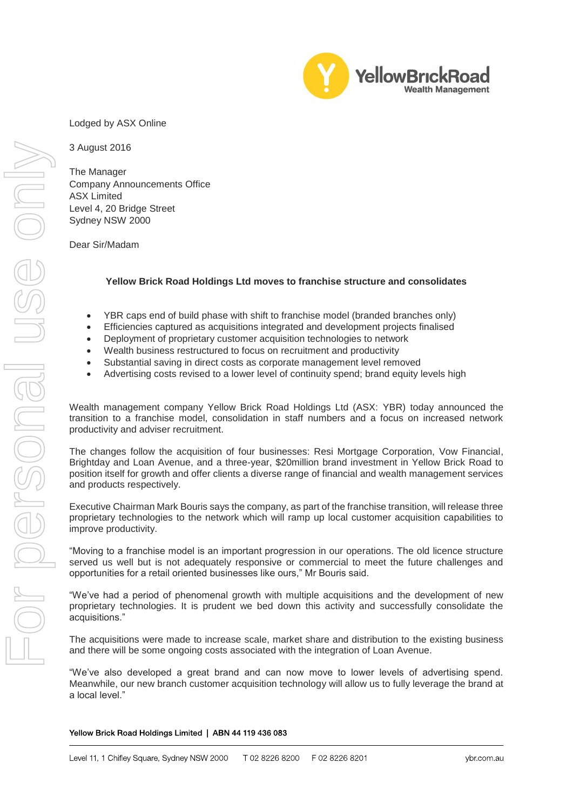

Lodged by ASX Online

3 August 2016

The Manager Company Announcements Office ASX Limited Level 4, 20 Bridge Street Sydney NSW 2000

Dear Sir/Madam

## **Yellow Brick Road Holdings Ltd moves to franchise structure and consolidates**

- YBR caps end of build phase with shift to franchise model (branded branches only)
- Efficiencies captured as acquisitions integrated and development projects finalised
- Deployment of proprietary customer acquisition technologies to network
- Wealth business restructured to focus on recruitment and productivity
- Substantial saving in direct costs as corporate management level removed
- Advertising costs revised to a lower level of continuity spend; brand equity levels high

Wealth management company Yellow Brick Road Holdings Ltd (ASX: YBR) today announced the transition to a franchise model, consolidation in staff numbers and a focus on increased network productivity and adviser recruitment.

The changes follow the acquisition of four businesses: Resi Mortgage Corporation, Vow Financial, Brightday and Loan Avenue, and a three-year, \$20million brand investment in Yellow Brick Road to position itself for growth and offer clients a diverse range of financial and wealth management services and products respectively.

Executive Chairman Mark Bouris says the company, as part of the franchise transition, will release three proprietary technologies to the network which will ramp up local customer acquisition capabilities to improve productivity.

"Moving to a franchise model is an important progression in our operations. The old licence structure served us well but is not adequately responsive or commercial to meet the future challenges and opportunities for a retail oriented businesses like ours," Mr Bouris said.

"We've had a period of phenomenal growth with multiple acquisitions and the development of new proprietary technologies. It is prudent we bed down this activity and successfully consolidate the acquisitions."

The acquisitions were made to increase scale, market share and distribution to the existing business and there will be some ongoing costs associated with the integration of Loan Avenue.

"We've also developed a great brand and can now move to lower levels of advertising spend. Meanwhile, our new branch customer acquisition technology will allow us to fully leverage the brand at a local level."

## Yellow Brick Road Holdings Limited | ABN 44 119 436 083